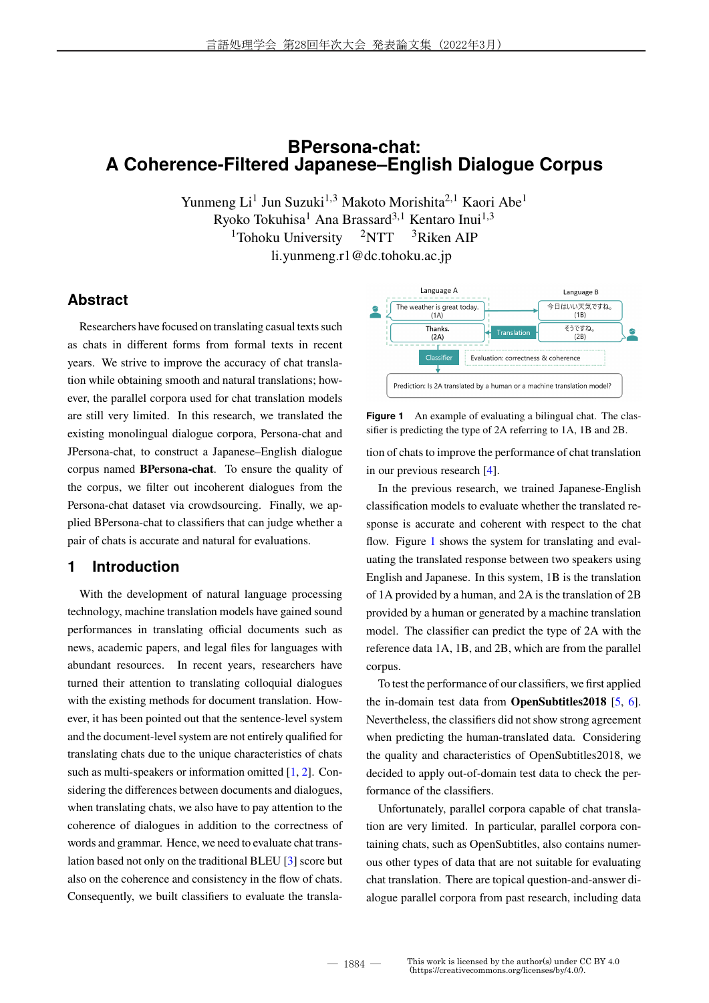## **BPersona-chat: A Coherence-Filtered Japanese–English Dialogue Corpus**

Yunmeng Li<sup>1</sup> Jun Suzuki<sup>1,3</sup> Makoto Morishita<sup>2,1</sup> Kaori Abe<sup>1</sup> Ryoko Tokuhisa<sup>1</sup> Ana Brassard3*,*<sup>1</sup> Kentaro Inui1*,*<sup>3</sup> <sup>1</sup>Tohoku University  $2NTT$  <sup>3</sup>Riken AIP li.yunmeng.r1@dc.tohoku.ac.jp

## **Abstract**

Researchers have focused on translating casual texts such as chats in different forms from formal texts in recent years. We strive to improve the accuracy of chat translation while obtaining smooth and natural translations; however, the parallel corpora used for chat translation models are still very limited. In this research, we translated the existing monolingual dialogue corpora, Persona-chat and JPersona-chat, to construct a Japanese–English dialogue corpus named **BPersona-chat**. To ensure the quality of the corpus, we filter out incoherent dialogues from the Persona-chat dataset via crowdsourcing. Finally, we applied BPersona-chat to classifiers that can judge whether a pair of chats is accurate and natural for evaluations.

## **1 Introduction**

With the development of natural language processing technology, machine translation models have gained sound performances in translating official documents such as news, academic papers, and legal files for languages with abundant resources. In recent years, researchers have turned their attention to translating colloquial dialogues with the existing methods for document translation. However, it has been pointed out that the sentence-level system and the document-level system are not entirely qualified for translating chats due to the unique characteristics of chats such as multi-speakers or information omitted [1, 2]. Considering the differences between documents and dialogues, when translating chats, we also have to pay attention to the coherence of dialogues in addition to the correctness of words and grammar. Hence, we need to evaluate chat translation based not only on the traditional BLEU [3] score but also on the coherence and consistency in the flow of chats. Consequently, we built classifiers to evaluate the transla-



**Figure 1** An example of evaluating a bilingual chat. The classifier is predicting the type of 2A referring to 1A, 1B and 2B.

tion of chats to improve the performance of chat translation in our previous research [4].

In the previous research, we trained Japanese-English classification models to evaluate whether the translated response is accurate and coherent with respect to the chat flow. Figure 1 shows the system for translating and evaluating the translated response between two speakers using English and Japanese. In this system, 1B is the translation of 1A provided by a human, and 2A is the translation of 2B provided by a human or generated by a machine translation model. The classifier can predict the type of 2A with the reference data 1A, 1B, and 2B, which are from the parallel corpus.

To test the performance of our classifiers, we first applied the in-domain test data from **OpenSubtitles2018** [5, 6]. Nevertheless, the classifiers did not show strong agreement when predicting the human-translated data. Considering the quality and characteristics of OpenSubtitles2018, we decided to apply out-of-domain test data to check the performance of the classifiers.

Unfortunately, parallel corpora capable of chat translation are very limited. In particular, parallel corpora containing chats, such as OpenSubtitles, also contains numerous other types of data that are not suitable for evaluating chat translation. There are topical question-and-answer dialogue parallel corpora from past research, including data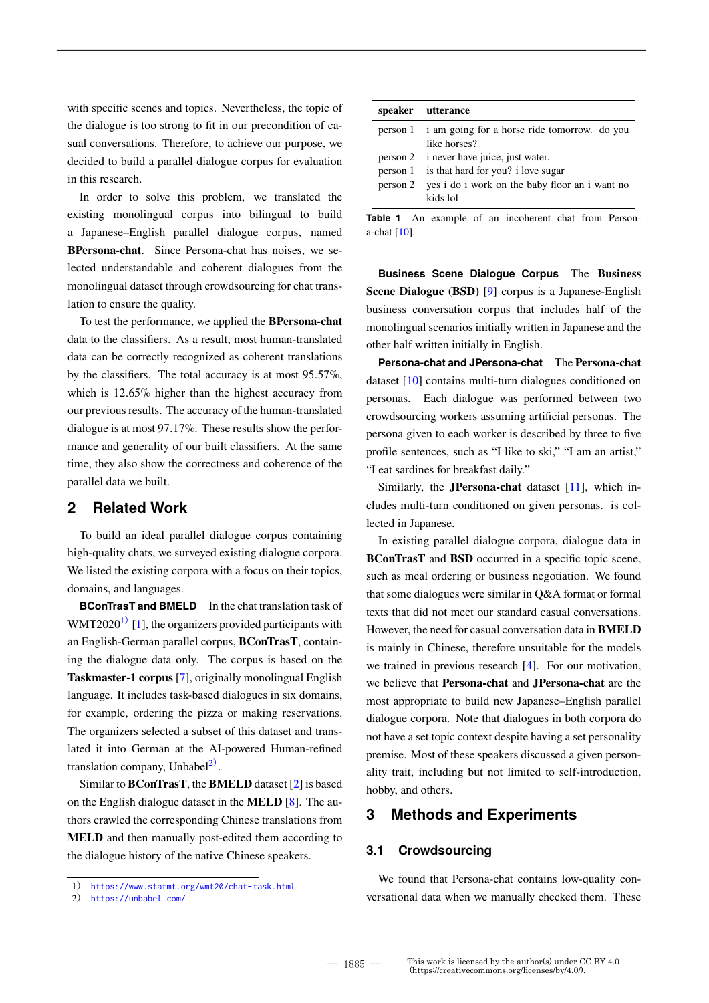with specific scenes and topics. Nevertheless, the topic of the dialogue is too strong to fit in our precondition of casual conversations. Therefore, to achieve our purpose, we decided to build a parallel dialogue corpus for evaluation in this research.

In order to solve this problem, we translated the existing monolingual corpus into bilingual to build a Japanese–English parallel dialogue corpus, named **BPersona-chat**. Since Persona-chat has noises, we selected understandable and coherent dialogues from the monolingual dataset through crowdsourcing for chat translation to ensure the quality.

To test the performance, we applied the **BPersona-chat** data to the classifiers. As a result, most human-translated data can be correctly recognized as coherent translations by the classifiers. The total accuracy is at most 95*.*57%, which is 12*.*65% higher than the highest accuracy from our previous results. The accuracy of the human-translated dialogue is at most 97*.*17%. These results show the performance and generality of our built classifiers. At the same time, they also show the correctness and coherence of the parallel data we built.

#### **2 Related Work**

To build an ideal parallel dialogue corpus containing high-quality chats, we surveyed existing dialogue corpora. We listed the existing corpora with a focus on their topics, domains, and languages.

**BConTrasT and BMELD** In the chat translation task of WMT2020<sup>1)</sup> [1], the organizers provided participants with an English-German parallel corpus, **BConTrasT**, containing the dialogue data only. The corpus is based on the **Taskmaster-1 corpus** [7], originally monolingual English language. It includes task-based dialogues in six domains, for example, ordering the pizza or making reservations. The organizers selected a subset of this dataset and translated it into German at the AI-powered Human-refined translation company, Unbabel<sup>2)</sup>.

Similar to **BConTrasT**, the **BMELD** dataset [2] is based on the English dialogue dataset in the **MELD** [8]. The authors crawled the corresponding Chinese translations from **MELD** and then manually post-edited them according to the dialogue history of the native Chinese speakers.

| speaker utterance                                       |
|---------------------------------------------------------|
| person 1 i am going for a horse ride tomorrow. do you   |
| like horses?                                            |
| person 2 i never have juice, just water.                |
| person 1 is that hard for you? i love sugar             |
| person 2 yes i do i work on the baby floor an i want no |
| kids lol                                                |

**Table 1** An example of an incoherent chat from Persona-chat [10].

**Business Scene Dialogue Corpus** The **Business Scene Dialogue (BSD)** [9] corpus is a Japanese-English business conversation corpus that includes half of the monolingual scenarios initially written in Japanese and the other half written initially in English.

**Persona-chat and JPersona-chat** The **Persona-chat** dataset [10] contains multi-turn dialogues conditioned on personas. Each dialogue was performed between two crowdsourcing workers assuming artificial personas. The persona given to each worker is described by three to five profile sentences, such as "I like to ski," "I am an artist," "I eat sardines for breakfast daily."

Similarly, the **JPersona-chat** dataset [11], which includes multi-turn conditioned on given personas. is collected in Japanese.

In existing parallel dialogue corpora, dialogue data in **BConTrasT** and **BSD** occurred in a specific topic scene, such as meal ordering or business negotiation. We found that some dialogues were similar in Q&A format or formal texts that did not meet our standard casual conversations. However, the need for casual conversation data in **BMELD** is mainly in Chinese, therefore unsuitable for the models we trained in previous research [4]. For our motivation, we believe that **Persona-chat** and **JPersona-chat** are the most appropriate to build new Japanese–English parallel dialogue corpora. Note that dialogues in both corpora do not have a set topic context despite having a set personality premise. Most of these speakers discussed a given personality trait, including but not limited to self-introduction, hobby, and others.

### **3 Methods and Experiments**

#### **3.1 Crowdsourcing**

We found that Persona-chat contains low-quality conversational data when we manually checked them. These

<sup>1</sup>) https://www.statmt.org/wmt20/chat-task.html

<sup>2</sup>) https://unbabel.com/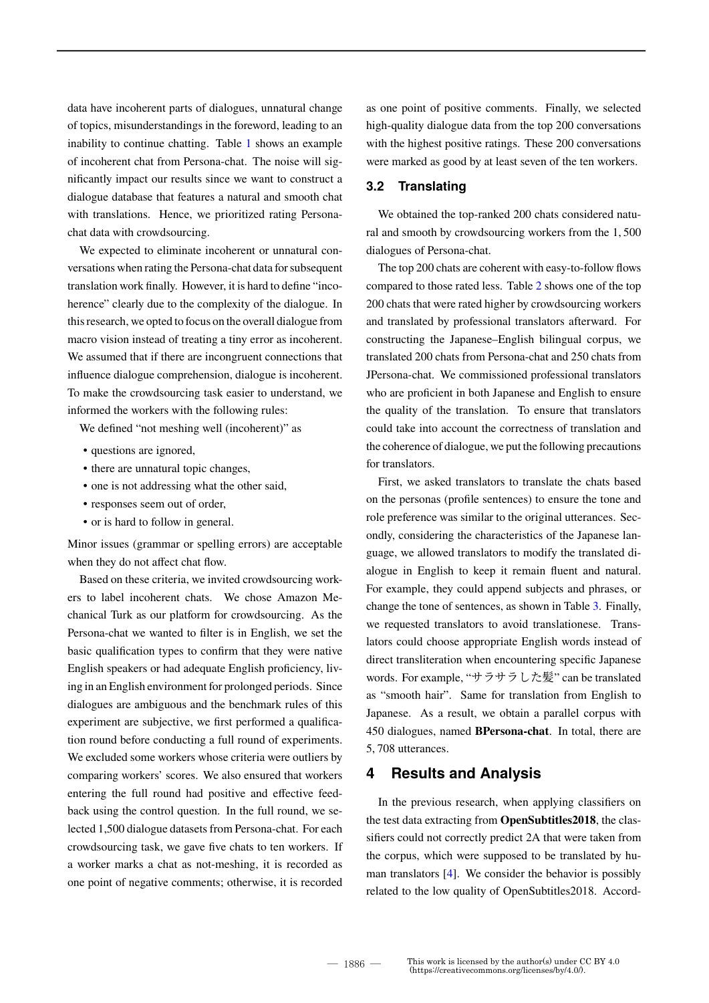data have incoherent parts of dialogues, unnatural change of topics, misunderstandings in the foreword, leading to an inability to continue chatting. Table 1 shows an example of incoherent chat from Persona-chat. The noise will significantly impact our results since we want to construct a dialogue database that features a natural and smooth chat with translations. Hence, we prioritized rating Personachat data with crowdsourcing.

We expected to eliminate incoherent or unnatural conversations when rating the Persona-chat data for subsequent translation work finally. However, it is hard to define "incoherence" clearly due to the complexity of the dialogue. In this research, we opted to focus on the overall dialogue from macro vision instead of treating a tiny error as incoherent. We assumed that if there are incongruent connections that influence dialogue comprehension, dialogue is incoherent. To make the crowdsourcing task easier to understand, we informed the workers with the following rules:

We defined "not meshing well (incoherent)" as

- questions are ignored,
- there are unnatural topic changes,
- one is not addressing what the other said,
- responses seem out of order,
- or is hard to follow in general.

Minor issues (grammar or spelling errors) are acceptable when they do not affect chat flow.

Based on these criteria, we invited crowdsourcing workers to label incoherent chats. We chose Amazon Mechanical Turk as our platform for crowdsourcing. As the Persona-chat we wanted to filter is in English, we set the basic qualification types to confirm that they were native English speakers or had adequate English proficiency, living in an English environment for prolonged periods. Since dialogues are ambiguous and the benchmark rules of this experiment are subjective, we first performed a qualification round before conducting a full round of experiments. We excluded some workers whose criteria were outliers by comparing workers' scores. We also ensured that workers entering the full round had positive and effective feedback using the control question. In the full round, we selected 1,500 dialogue datasets from Persona-chat. For each crowdsourcing task, we gave five chats to ten workers. If a worker marks a chat as not-meshing, it is recorded as one point of negative comments; otherwise, it is recorded

as one point of positive comments. Finally, we selected high-quality dialogue data from the top 200 conversations with the highest positive ratings. These 200 conversations were marked as good by at least seven of the ten workers.

#### **3.2 Translating**

We obtained the top-ranked 200 chats considered natural and smooth by crowdsourcing workers from the 1*,* 500 dialogues of Persona-chat.

The top 200 chats are coherent with easy-to-follow flows compared to those rated less. Table 2 shows one of the top 200 chats that were rated higher by crowdsourcing workers and translated by professional translators afterward. For constructing the Japanese–English bilingual corpus, we translated 200 chats from Persona-chat and 250 chats from JPersona-chat. We commissioned professional translators who are proficient in both Japanese and English to ensure the quality of the translation. To ensure that translators could take into account the correctness of translation and the coherence of dialogue, we put the following precautions for translators.

First, we asked translators to translate the chats based on the personas (profile sentences) to ensure the tone and role preference was similar to the original utterances. Secondly, considering the characteristics of the Japanese language, we allowed translators to modify the translated dialogue in English to keep it remain fluent and natural. For example, they could append subjects and phrases, or change the tone of sentences, as shown in Table 3. Finally, we requested translators to avoid translationese. Translators could choose appropriate English words instead of direct transliteration when encountering specific Japanese words. For example, "サラサラした髪" can be translated as "smooth hair". Same for translation from English to Japanese. As a result, we obtain a parallel corpus with 450 dialogues, named **BPersona-chat**. In total, there are 5*,* 708 utterances.

#### **4 Results and Analysis**

In the previous research, when applying classifiers on the test data extracting from **OpenSubtitles2018**, the classifiers could not correctly predict 2A that were taken from the corpus, which were supposed to be translated by human translators [4]. We consider the behavior is possibly related to the low quality of OpenSubtitles2018. Accord-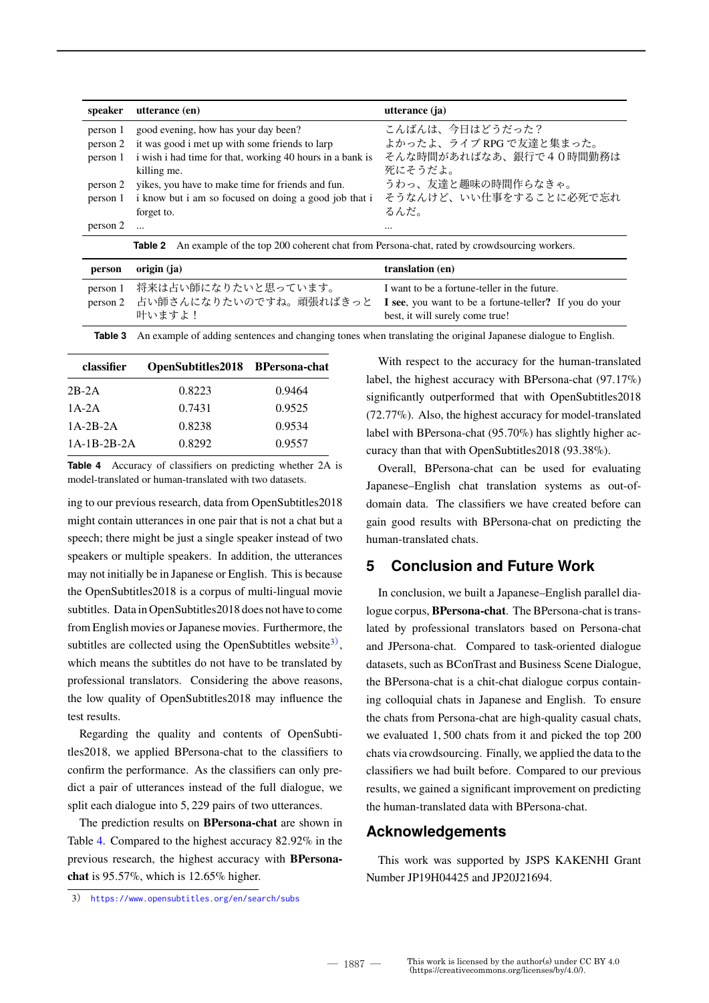| speaker  | utterance (en)                                                                                        | utterance (ja)          |
|----------|-------------------------------------------------------------------------------------------------------|-------------------------|
| person 1 | good evening, how has your day been?                                                                  | こんばんは、今日はどうだった?         |
| person 2 | it was good i met up with some friends to larp                                                        | よかったよ、ライブ RPG で友達と集まった。 |
| person 1 | i wish i had time for that, working 40 hours in a bank is                                             | そんな時間があればなあ、銀行で40時間勤務は  |
|          | killing me.                                                                                           | 死にそうだよ。                 |
| person 2 | yikes, you have to make time for friends and fun.                                                     | うわっ、友達と趣味の時間作らなきゃ。      |
| person 1 | i know but i am so focused on doing a good job that i                                                 | そうなんけど、いい仕事をすることに必死で忘れ  |
|          | forget to.                                                                                            | るんだ。                    |
| person 2 | $\dddotsc$                                                                                            | $\cdots$                |
|          | An example of the top 200 coherent chat from Persona-chat, rated by crowdsourcing workers.<br>Table 2 |                         |
|          | $\cdots$                                                                                              | $\lambda$ and $\lambda$ |

| person | origin (ja)                            | translation (en)                                                                                                                                                          |
|--------|----------------------------------------|---------------------------------------------------------------------------------------------------------------------------------------------------------------------------|
|        | person 1 将来は占い師になりたいと思っています。<br>叶いますよ! | I want to be a fortune-teller in the future.<br>person 2 占い師さんになりたいのですね。頑張ればきっと I see, you want to be a fortune-teller? If you do your<br>best, it will surely come true! |

**Table 3** An example of adding sentences and changing tones when translating the original Japanese dialogue to English.

| classifier    | OpenSubtitles2018 BPersona-chat |        |
|---------------|---------------------------------|--------|
| $2B-2A$       | 0.8223                          | 0.9464 |
| $1A-2A$       | 0.7431                          | 0.9525 |
| $1A-2B-2A$    | 0.8238                          | 0.9534 |
| $1A-1B-2B-2A$ | 0.8292                          | 0.9557 |

**Table 4** Accuracy of classifiers on predicting whether 2A is model-translated or human-translated with two datasets.

ing to our previous research, data from OpenSubtitles2018 might contain utterances in one pair that is not a chat but a speech; there might be just a single speaker instead of two speakers or multiple speakers. In addition, the utterances may not initially be in Japanese or English. This is because the OpenSubtitles2018 is a corpus of multi-lingual movie subtitles. Data in OpenSubtitles2018 does not have to come from English movies or Japanese movies. Furthermore, the subtitles are collected using the OpenSubtitles website $3$ , which means the subtitles do not have to be translated by professional translators. Considering the above reasons, the low quality of OpenSubtitles2018 may influence the test results.

Regarding the quality and contents of OpenSubtitles2018, we applied BPersona-chat to the classifiers to confirm the performance. As the classifiers can only predict a pair of utterances instead of the full dialogue, we split each dialogue into 5*,* 229 pairs of two utterances.

The prediction results on **BPersona-chat** are shown in Table 4. Compared to the highest accuracy 82*.*92% in the previous research, the highest accuracy with **BPersonachat** is 95*.*57%, which is 12*.*65% higher.

With respect to the accuracy for the human-translated label, the highest accuracy with BPersona-chat (97*.*17%) significantly outperformed that with OpenSubtitles2018 (72*.*77%). Also, the highest accuracy for model-translated label with BPersona-chat (95*.*70%) has slightly higher accuracy than that with OpenSubtitles2018 (93*.*38%).

Overall, BPersona-chat can be used for evaluating Japanese–English chat translation systems as out-ofdomain data. The classifiers we have created before can gain good results with BPersona-chat on predicting the human-translated chats.

## **5 Conclusion and Future Work**

In conclusion, we built a Japanese–English parallel dialogue corpus, **BPersona-chat**. The BPersona-chat is translated by professional translators based on Persona-chat and JPersona-chat. Compared to task-oriented dialogue datasets, such as BConTrast and Business Scene Dialogue, the BPersona-chat is a chit-chat dialogue corpus containing colloquial chats in Japanese and English. To ensure the chats from Persona-chat are high-quality casual chats, we evaluated 1*,* 500 chats from it and picked the top 200 chats via crowdsourcing. Finally, we applied the data to the classifiers we had built before. Compared to our previous results, we gained a significant improvement on predicting the human-translated data with BPersona-chat.

#### **Acknowledgements**

This work was supported by JSPS KAKENHI Grant Number JP19H04425 and JP20J21694.

3) https://www.opensubtitles.org/en/search/subs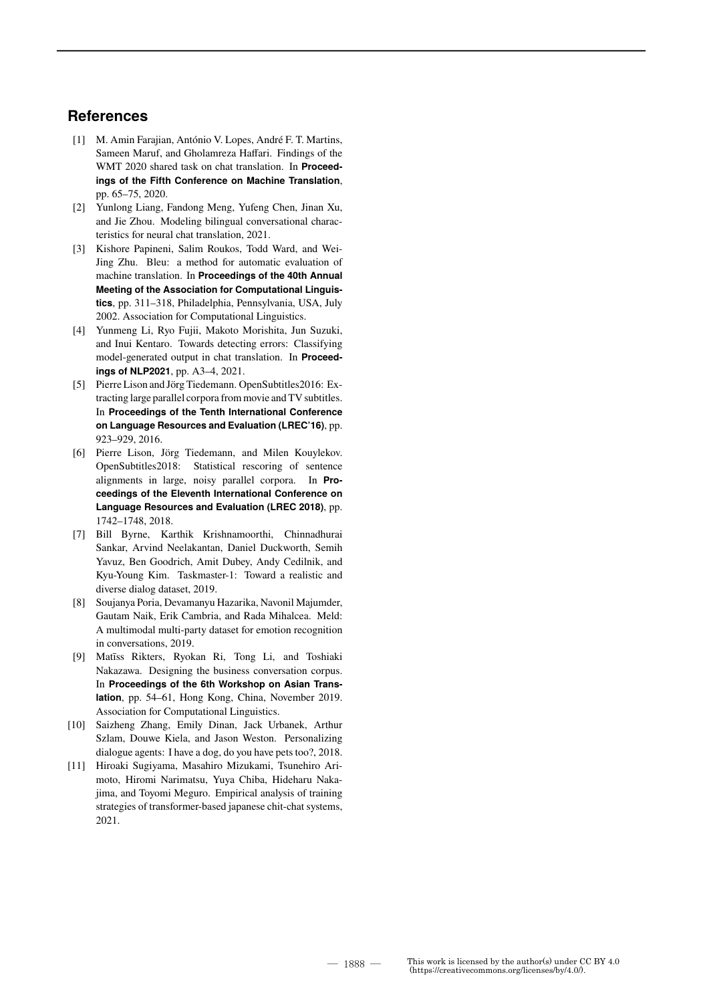### **References**

- [1] M. Amin Farajian, António V. Lopes, André F. T. Martins, Sameen Maruf, and Gholamreza Haffari. Findings of the WMT 2020 shared task on chat translation. In **Proceedings of the Fifth Conference on Machine Translation**, pp. 65–75, 2020.
- [2] Yunlong Liang, Fandong Meng, Yufeng Chen, Jinan Xu, and Jie Zhou. Modeling bilingual conversational characteristics for neural chat translation, 2021.
- [3] Kishore Papineni, Salim Roukos, Todd Ward, and Wei-Jing Zhu. Bleu: a method for automatic evaluation of machine translation. In **Proceedings of the 40th Annual Meeting of the Association for Computational Linguistics**, pp. 311–318, Philadelphia, Pennsylvania, USA, July 2002. Association for Computational Linguistics.
- [4] Yunmeng Li, Ryo Fujii, Makoto Morishita, Jun Suzuki, and Inui Kentaro. Towards detecting errors: Classifying model-generated output in chat translation. In **Proceedings of NLP2021**, pp. A3–4, 2021.
- [5] Pierre Lison and Jörg Tiedemann. OpenSubtitles2016: Extracting large parallel corpora from movie and TV subtitles. In **Proceedings of the Tenth International Conference on Language Resources and Evaluation (LREC'16)**, pp. 923–929, 2016.
- [6] Pierre Lison, Jörg Tiedemann, and Milen Kouylekov. OpenSubtitles2018: Statistical rescoring of sentence alignments in large, noisy parallel corpora. In **Proceedings of the Eleventh International Conference on Language Resources and Evaluation (LREC 2018)**, pp. 1742–1748, 2018.
- [7] Bill Byrne, Karthik Krishnamoorthi, Chinnadhurai Sankar, Arvind Neelakantan, Daniel Duckworth, Semih Yavuz, Ben Goodrich, Amit Dubey, Andy Cedilnik, and Kyu-Young Kim. Taskmaster-1: Toward a realistic and diverse dialog dataset, 2019.
- [8] Soujanya Poria, Devamanyu Hazarika, Navonil Majumder, Gautam Naik, Erik Cambria, and Rada Mihalcea. Meld: A multimodal multi-party dataset for emotion recognition in conversations, 2019.
- [9] Matīss Rikters, Ryokan Ri, Tong Li, and Toshiaki Nakazawa. Designing the business conversation corpus. In **Proceedings of the 6th Workshop on Asian Translation**, pp. 54–61, Hong Kong, China, November 2019. Association for Computational Linguistics.
- [10] Saizheng Zhang, Emily Dinan, Jack Urbanek, Arthur Szlam, Douwe Kiela, and Jason Weston. Personalizing dialogue agents: I have a dog, do you have pets too?, 2018.
- [11] Hiroaki Sugiyama, Masahiro Mizukami, Tsunehiro Arimoto, Hiromi Narimatsu, Yuya Chiba, Hideharu Nakajima, and Toyomi Meguro. Empirical analysis of training strategies of transformer-based japanese chit-chat systems, 2021.